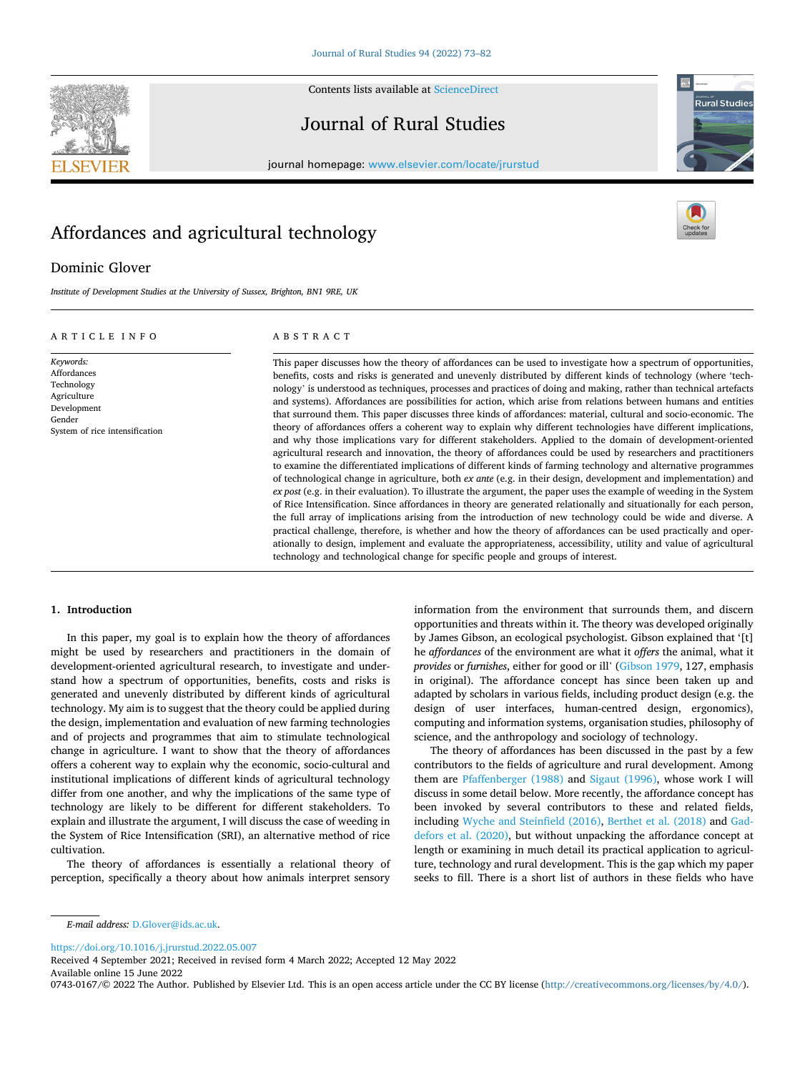**SEVIER** 



# Journal of Rural Studies



journal homepage: [www.elsevier.com/locate/jrurstud](https://www.elsevier.com/locate/jrurstud)

# Affordances and agricultural technology

## Dominic Glover

*Institute of Development Studies at the University of Sussex, Brighton, BN1 9RE, UK* 

#### ARTICLE INFO

System of rice intensification

*Keywords:*  Affordances Technology **Agriculture** Development Gender

## ABSTRACT

This paper discusses how the theory of affordances can be used to investigate how a spectrum of opportunities, benefits, costs and risks is generated and unevenly distributed by different kinds of technology (where 'technology' is understood as techniques, processes and practices of doing and making, rather than technical artefacts and systems). Affordances are possibilities for action, which arise from relations between humans and entities that surround them. This paper discusses three kinds of affordances: material, cultural and socio-economic. The theory of affordances offers a coherent way to explain why different technologies have different implications, and why those implications vary for different stakeholders. Applied to the domain of development-oriented agricultural research and innovation, the theory of affordances could be used by researchers and practitioners to examine the differentiated implications of different kinds of farming technology and alternative programmes of technological change in agriculture, both *ex ante* (e.g. in their design, development and implementation) and *ex post* (e.g. in their evaluation). To illustrate the argument, the paper uses the example of weeding in the System of Rice Intensification. Since affordances in theory are generated relationally and situationally for each person, the full array of implications arising from the introduction of new technology could be wide and diverse. A practical challenge, therefore, is whether and how the theory of affordances can be used practically and operationally to design, implement and evaluate the appropriateness, accessibility, utility and value of agricultural technology and technological change for specific people and groups of interest.

#### **1. Introduction**

In this paper, my goal is to explain how the theory of affordances might be used by researchers and practitioners in the domain of development-oriented agricultural research, to investigate and understand how a spectrum of opportunities, benefits, costs and risks is generated and unevenly distributed by different kinds of agricultural technology. My aim is to suggest that the theory could be applied during the design, implementation and evaluation of new farming technologies and of projects and programmes that aim to stimulate technological change in agriculture. I want to show that the theory of affordances offers a coherent way to explain why the economic, socio-cultural and institutional implications of different kinds of agricultural technology differ from one another, and why the implications of the same type of technology are likely to be different for different stakeholders. To explain and illustrate the argument, I will discuss the case of weeding in the System of Rice Intensification (SRI), an alternative method of rice cultivation.

The theory of affordances is essentially a relational theory of perception, specifically a theory about how animals interpret sensory information from the environment that surrounds them, and discern opportunities and threats within it. The theory was developed originally by James Gibson, an ecological psychologist. Gibson explained that '[t] he *affordances* of the environment are what it *offers* the animal, what it *provides* or *furnishes*, either for good or ill' [\(Gibson 1979,](#page-9-0) 127, emphasis in original). The affordance concept has since been taken up and adapted by scholars in various fields, including product design (e.g. the design of user interfaces, human-centred design, ergonomics), computing and information systems, organisation studies, philosophy of science, and the anthropology and sociology of technology.

The theory of affordances has been discussed in the past by a few contributors to the fields of agriculture and rural development. Among them are [Pfaffenberger \(1988\)](#page-9-0) and [Sigaut \(1996\)](#page-9-0), whose work I will discuss in some detail below. More recently, the affordance concept has been invoked by several contributors to these and related fields, including [Wyche and Steinfield \(2016\),](#page-9-0) [Berthet et al. \(2018\)](#page-8-0) and [Gad](#page-8-0)[defors et al. \(2020\)](#page-8-0), but without unpacking the affordance concept at length or examining in much detail its practical application to agriculture, technology and rural development. This is the gap which my paper seeks to fill. There is a short list of authors in these fields who have

<https://doi.org/10.1016/j.jrurstud.2022.05.007>

Available online 15 June 2022 Received 4 September 2021; Received in revised form 4 March 2022; Accepted 12 May 2022

0743-0167/© 2022 The Author. Published by Elsevier Ltd. This is an open access article under the CC BY license [\(http://creativecommons.org/licenses/by/4.0/\)](http://creativecommons.org/licenses/by/4.0/).

*E-mail address:* [D.Glover@ids.ac.uk.](mailto:D.Glover@ids.ac.uk)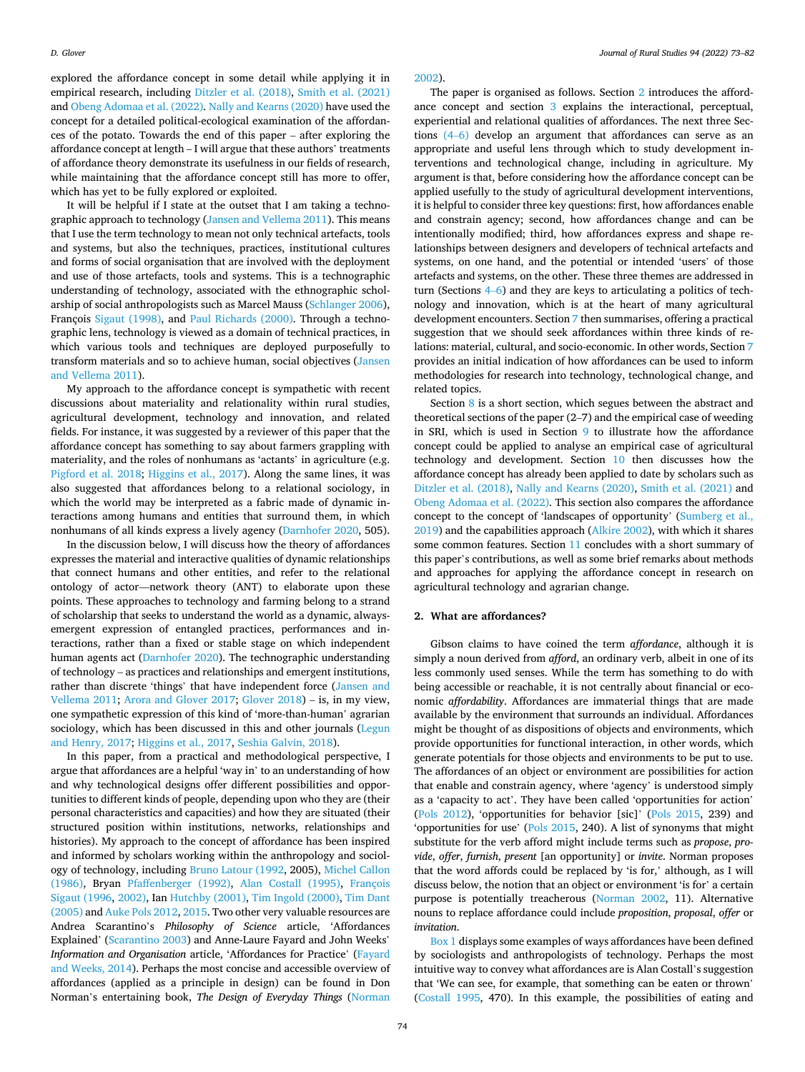explored the affordance concept in some detail while applying it in empirical research, including [Ditzler et al. \(2018\)](#page-8-0), [Smith et al. \(2021\)](#page-9-0)  and [Obeng Adomaa et al. \(2022\). Nally and Kearns \(2020\)](#page-9-0) have used the concept for a detailed political-ecological examination of the affordances of the potato. Towards the end of this paper – after exploring the affordance concept at length – I will argue that these authors' treatments of affordance theory demonstrate its usefulness in our fields of research, while maintaining that the affordance concept still has more to offer, which has yet to be fully explored or exploited.

It will be helpful if I state at the outset that I am taking a technographic approach to technology [\(Jansen and Vellema 2011](#page-9-0)). This means that I use the term technology to mean not only technical artefacts, tools and systems, but also the techniques, practices, institutional cultures and forms of social organisation that are involved with the deployment and use of those artefacts, tools and systems. This is a technographic understanding of technology, associated with the ethnographic scholarship of social anthropologists such as Marcel Mauss ([Schlanger 2006](#page-9-0)), François [Sigaut \(1998\)](#page-9-0), and [Paul Richards \(2000\).](#page-9-0) Through a technographic lens, technology is viewed as a domain of technical practices, in which various tools and techniques are deployed purposefully to transform materials and so to achieve human, social objectives ([Jansen](#page-9-0)  [and Vellema 2011](#page-9-0)).

My approach to the affordance concept is sympathetic with recent discussions about materiality and relationality within rural studies, agricultural development, technology and innovation, and related fields. For instance, it was suggested by a reviewer of this paper that the affordance concept has something to say about farmers grappling with materiality, and the roles of nonhumans as 'actants' in agriculture (e.g. [Pigford et al. 2018;](#page-9-0) [Higgins et al., 2017](#page-9-0)). Along the same lines, it was also suggested that affordances belong to a relational sociology, in which the world may be interpreted as a fabric made of dynamic interactions among humans and entities that surround them, in which nonhumans of all kinds express a lively agency [\(Darnhofer 2020](#page-8-0), 505).

In the discussion below, I will discuss how the theory of affordances expresses the material and interactive qualities of dynamic relationships that connect humans and other entities, and refer to the relational ontology of actor—network theory (ANT) to elaborate upon these points. These approaches to technology and farming belong to a strand of scholarship that seeks to understand the world as a dynamic, alwaysemergent expression of entangled practices, performances and interactions, rather than a fixed or stable stage on which independent human agents act ([Darnhofer 2020\)](#page-8-0). The technographic understanding of technology – as practices and relationships and emergent institutions, rather than discrete 'things' that have independent force [\(Jansen and](#page-9-0)  [Vellema 2011;](#page-9-0) [Arora and Glover 2017](#page-8-0); [Glover 2018](#page-9-0)) – is, in my view, one sympathetic expression of this kind of 'more-than-human' agrarian sociology, which has been discussed in this and other journals (Legun [and Henry, 2017](#page-9-0); [Higgins et al., 2017](#page-9-0), [Seshia Galvin, 2018](#page-8-0)).

In this paper, from a practical and methodological perspective, I argue that affordances are a helpful 'way in' to an understanding of how and why technological designs offer different possibilities and opportunities to different kinds of people, depending upon who they are (their personal characteristics and capacities) and how they are situated (their structured position within institutions, networks, relationships and histories). My approach to the concept of affordance has been inspired and informed by scholars working within the anthropology and sociology of technology, including [Bruno Latour \(1992](#page-9-0), 2005), [Michel Callon](#page-8-0)  [\(1986\),](#page-8-0) Bryan [Pfaffenberger \(1992\),](#page-9-0) [Alan Costall \(1995\),](#page-8-0) [François](#page-9-0)  [Sigaut \(1996, 2002\)](#page-9-0), Ian [Hutchby \(2001\)](#page-9-0), [Tim Ingold \(2000\)](#page-9-0), [Tim Dant](#page-8-0)  [\(2005\)](#page-8-0) and [Auke Pols 2012, 2015](#page-9-0). Two other very valuable resources are Andrea Scarantino's *Philosophy of Science* article, 'Affordances Explained' [\(Scarantino 2003](#page-9-0)) and Anne-Laure Fayard and John Weeks' *Information and Organisation* article, 'Affordances for Practice' [\(Fayard](#page-8-0)  [and Weeks, 2014\)](#page-8-0). Perhaps the most concise and accessible overview of affordances (applied as a principle in design) can be found in Don Norman's entertaining book, *The Design of Everyday Things* [\(Norman](#page-9-0) 

[2002\)](#page-9-0).

The paper is organised as follows. Section 2 introduces the affordance concept and section [3](#page-2-0) explains the interactional, perceptual, experiential and relational qualities of affordances. The next three Sections [\(4](#page-2-0)–6) develop an argument that affordances can serve as an appropriate and useful lens through which to study development interventions and technological change, including in agriculture. My argument is that, before considering how the affordance concept can be applied usefully to the study of agricultural development interventions, it is helpful to consider three key questions: first, how affordances enable and constrain agency; second, how affordances change and can be intentionally modified; third, how affordances express and shape relationships between designers and developers of technical artefacts and systems, on one hand, and the potential or intended 'users' of those artefacts and systems, on the other. These three themes are addressed in turn (Sections 4–[6\)](#page-2-0) and they are keys to articulating a politics of technology and innovation, which is at the heart of many agricultural development encounters. Section [7](#page-4-0) then summarises, offering a practical suggestion that we should seek affordances within three kinds of relations: material, cultural, and socio-economic. In other words, Section [7](#page-4-0)  provides an initial indication of how affordances can be used to inform methodologies for research into technology, technological change, and related topics.

Section [8](#page-5-0) is a short section, which segues between the abstract and theoretical sections of the paper (2–7) and the empirical case of weeding in SRI, which is used in Section [9](#page-5-0) to illustrate how the affordance concept could be applied to analyse an empirical case of agricultural technology and development. Section [10](#page-6-0) then discusses how the affordance concept has already been applied to date by scholars such as [Ditzler et al. \(2018\)](#page-8-0), [Nally and Kearns \(2020\), Smith et al. \(2021\)](#page-9-0) and [Obeng Adomaa et al. \(2022\).](#page-9-0) This section also compares the affordance concept to the concept of 'landscapes of opportunity' [\(Sumberg et al.,](#page-9-0)  [2019\)](#page-9-0) and the capabilities approach [\(Alkire 2002\)](#page-8-0), with which it shares some common features. Section [11](#page-7-0) concludes with a short summary of this paper's contributions, as well as some brief remarks about methods and approaches for applying the affordance concept in research on agricultural technology and agrarian change.

#### **2. What are affordances?**

Gibson claims to have coined the term *affordance*, although it is simply a noun derived from *afford*, an ordinary verb, albeit in one of its less commonly used senses. While the term has something to do with being accessible or reachable, it is not centrally about financial or economic *affordability*. Affordances are immaterial things that are made available by the environment that surrounds an individual. Affordances might be thought of as dispositions of objects and environments, which provide opportunities for functional interaction, in other words, which generate potentials for those objects and environments to be put to use. The affordances of an object or environment are possibilities for action that enable and constrain agency, where 'agency' is understood simply as a 'capacity to act'. They have been called 'opportunities for action' ([Pols 2012\)](#page-9-0), 'opportunities for behavior [sic]' ([Pols 2015](#page-9-0), 239) and 'opportunities for use' ([Pols 2015,](#page-9-0) 240). A list of synonyms that might substitute for the verb afford might include terms such as *propose*, *provide*, *offer*, *furnish*, *present* [an opportunity] or *invite*. Norman proposes that the word affords could be replaced by 'is for,' although, as I will discuss below, the notion that an object or environment 'is for' a certain purpose is potentially treacherous [\(Norman 2002](#page-9-0), 11). Alternative nouns to replace affordance could include *proposition*, *proposal*, *offer* or *invitation*.

Box 1 displays some examples of ways affordances have been defined by sociologists and anthropologists of technology. Perhaps the most intuitive way to convey what affordances are is Alan Costall's suggestion that 'We can see, for example, that something can be eaten or thrown' ([Costall 1995](#page-8-0), 470). In this example, the possibilities of eating and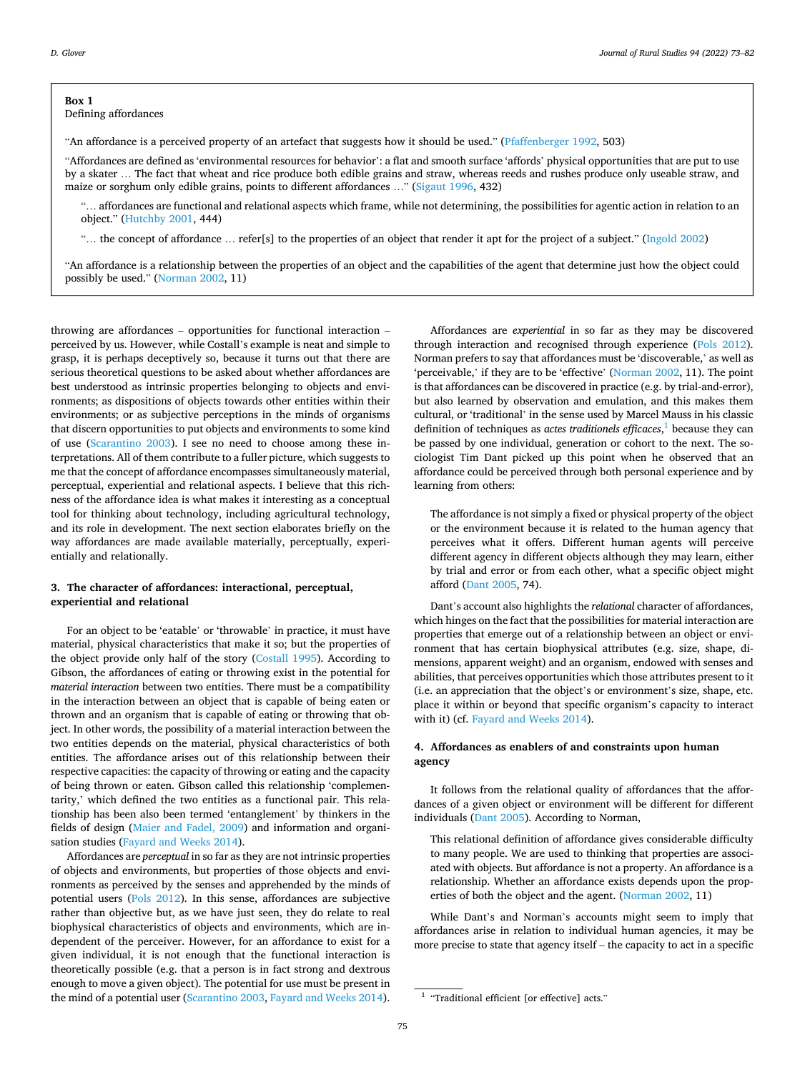#### <span id="page-2-0"></span>**Box 1**  Defining affordances

"An affordance is a perceived property of an artefact that suggests how it should be used." ([Pfaffenberger 1992,](#page-9-0) 503)

"Affordances are defined as 'environmental resources for behavior': a flat and smooth surface 'affords' physical opportunities that are put to use by a skater … The fact that wheat and rice produce both edible grains and straw, whereas reeds and rushes produce only useable straw, and maize or sorghum only edible grains, points to different affordances …" [\(Sigaut 1996](#page-9-0), 432)

"… affordances are functional and relational aspects which frame, while not determining, the possibilities for agentic action in relation to an object." ([Hutchby 2001](#page-9-0), 444)

"… the concept of affordance … refer[s] to the properties of an object that render it apt for the project of a subject." [\(Ingold 2002](#page-9-0))

"An affordance is a relationship between the properties of an object and the capabilities of the agent that determine just how the object could possibly be used." [\(Norman 2002,](#page-9-0) 11)

throwing are affordances – opportunities for functional interaction – perceived by us. However, while Costall's example is neat and simple to grasp, it is perhaps deceptively so, because it turns out that there are serious theoretical questions to be asked about whether affordances are best understood as intrinsic properties belonging to objects and environments; as dispositions of objects towards other entities within their environments; or as subjective perceptions in the minds of organisms that discern opportunities to put objects and environments to some kind of use ([Scarantino 2003](#page-9-0)). I see no need to choose among these interpretations. All of them contribute to a fuller picture, which suggests to me that the concept of affordance encompasses simultaneously material, perceptual, experiential and relational aspects. I believe that this richness of the affordance idea is what makes it interesting as a conceptual tool for thinking about technology, including agricultural technology, and its role in development. The next section elaborates briefly on the way affordances are made available materially, perceptually, experientially and relationally.

## **3. The character of affordances: interactional, perceptual, experiential and relational**

For an object to be 'eatable' or 'throwable' in practice, it must have material, physical characteristics that make it so; but the properties of the object provide only half of the story [\(Costall 1995](#page-8-0)). According to Gibson, the affordances of eating or throwing exist in the potential for *material interaction* between two entities. There must be a compatibility in the interaction between an object that is capable of being eaten or thrown and an organism that is capable of eating or throwing that object. In other words, the possibility of a material interaction between the two entities depends on the material, physical characteristics of both entities. The affordance arises out of this relationship between their respective capacities: the capacity of throwing or eating and the capacity of being thrown or eaten. Gibson called this relationship 'complementarity,' which defined the two entities as a functional pair. This relationship has been also been termed 'entanglement' by thinkers in the fields of design [\(Maier and Fadel, 2009](#page-9-0)) and information and organisation studies ([Fayard and Weeks 2014](#page-8-0)).

Affordances are *perceptual* in so far as they are not intrinsic properties of objects and environments, but properties of those objects and environments as perceived by the senses and apprehended by the minds of potential users [\(Pols 2012](#page-9-0)). In this sense, affordances are subjective rather than objective but, as we have just seen, they do relate to real biophysical characteristics of objects and environments, which are independent of the perceiver. However, for an affordance to exist for a given individual, it is not enough that the functional interaction is theoretically possible (e.g. that a person is in fact strong and dextrous enough to move a given object). The potential for use must be present in the mind of a potential user [\(Scarantino 2003,](#page-9-0) [Fayard and Weeks 2014](#page-8-0)).

Affordances are *experiential* in so far as they may be discovered through interaction and recognised through experience [\(Pols 2012](#page-9-0)). Norman prefers to say that affordances must be 'discoverable,' as well as 'perceivable,' if they are to be 'effective' [\(Norman 2002,](#page-9-0) 11). The point is that affordances can be discovered in practice (e.g. by trial-and-error), but also learned by observation and emulation, and this makes them cultural, or 'traditional' in the sense used by Marcel Mauss in his classic definition of techniques as *actes traditionels efficaces*, 1 because they can be passed by one individual, generation or cohort to the next. The sociologist Tim Dant picked up this point when he observed that an affordance could be perceived through both personal experience and by learning from others:

The affordance is not simply a fixed or physical property of the object or the environment because it is related to the human agency that perceives what it offers. Different human agents will perceive different agency in different objects although they may learn, either by trial and error or from each other, what a specific object might afford [\(Dant 2005](#page-8-0), 74).

Dant's account also highlights the *relational* character of affordances, which hinges on the fact that the possibilities for material interaction are properties that emerge out of a relationship between an object or environment that has certain biophysical attributes (e.g. size, shape, dimensions, apparent weight) and an organism, endowed with senses and abilities, that perceives opportunities which those attributes present to it (i.e. an appreciation that the object's or environment's size, shape, etc. place it within or beyond that specific organism's capacity to interact with it) (cf. [Fayard and Weeks 2014](#page-8-0)).

## **4. Affordances as enablers of and constraints upon human agency**

It follows from the relational quality of affordances that the affordances of a given object or environment will be different for different individuals [\(Dant 2005](#page-8-0)). According to Norman,

This relational definition of affordance gives considerable difficulty to many people. We are used to thinking that properties are associated with objects. But affordance is not a property. An affordance is a relationship. Whether an affordance exists depends upon the properties of both the object and the agent. [\(Norman 2002](#page-9-0), 11)

While Dant's and Norman's accounts might seem to imply that affordances arise in relation to individual human agencies, it may be more precise to state that agency itself – the capacity to act in a specific

<sup>&</sup>lt;sup>1</sup> "Traditional efficient [or effective] acts."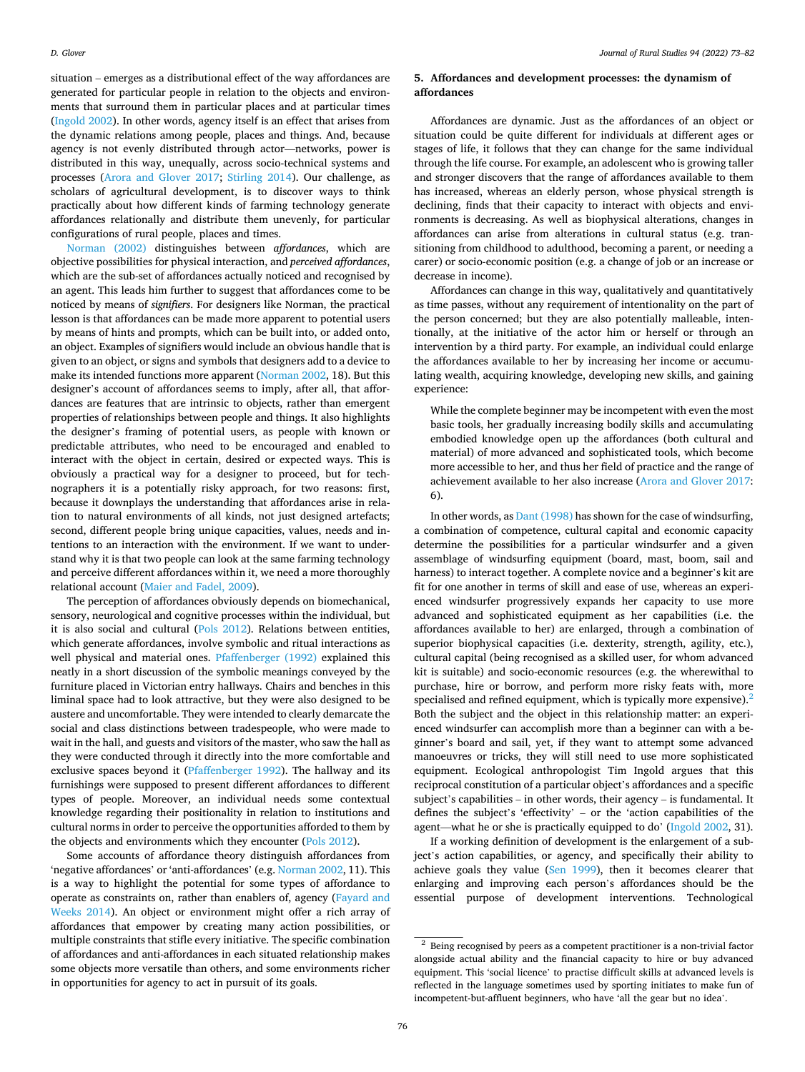situation – emerges as a distributional effect of the way affordances are generated for particular people in relation to the objects and environments that surround them in particular places and at particular times ([Ingold 2002](#page-9-0)). In other words, agency itself is an effect that arises from the dynamic relations among people, places and things. And, because agency is not evenly distributed through actor—networks, power is distributed in this way, unequally, across socio-technical systems and processes [\(Arora and Glover 2017;](#page-8-0) [Stirling 2014\)](#page-9-0). Our challenge, as scholars of agricultural development, is to discover ways to think practically about how different kinds of farming technology generate affordances relationally and distribute them unevenly, for particular configurations of rural people, places and times.

[Norman \(2002\)](#page-9-0) distinguishes between *affordances*, which are objective possibilities for physical interaction, and *perceived affordances*, which are the sub-set of affordances actually noticed and recognised by an agent. This leads him further to suggest that affordances come to be noticed by means of *signifiers*. For designers like Norman, the practical lesson is that affordances can be made more apparent to potential users by means of hints and prompts, which can be built into, or added onto, an object. Examples of signifiers would include an obvious handle that is given to an object, or signs and symbols that designers add to a device to make its intended functions more apparent ([Norman 2002](#page-9-0), 18). But this designer's account of affordances seems to imply, after all, that affordances are features that are intrinsic to objects, rather than emergent properties of relationships between people and things. It also highlights the designer's framing of potential users, as people with known or predictable attributes, who need to be encouraged and enabled to interact with the object in certain, desired or expected ways. This is obviously a practical way for a designer to proceed, but for technographers it is a potentially risky approach, for two reasons: first, because it downplays the understanding that affordances arise in relation to natural environments of all kinds, not just designed artefacts; second, different people bring unique capacities, values, needs and intentions to an interaction with the environment. If we want to understand why it is that two people can look at the same farming technology and perceive different affordances within it, we need a more thoroughly relational account ([Maier and Fadel, 2009\)](#page-9-0).

The perception of affordances obviously depends on biomechanical, sensory, neurological and cognitive processes within the individual, but it is also social and cultural ([Pols 2012\)](#page-9-0). Relations between entities, which generate affordances, involve symbolic and ritual interactions as well physical and material ones. [Pfaffenberger \(1992\)](#page-9-0) explained this neatly in a short discussion of the symbolic meanings conveyed by the furniture placed in Victorian entry hallways. Chairs and benches in this liminal space had to look attractive, but they were also designed to be austere and uncomfortable. They were intended to clearly demarcate the social and class distinctions between tradespeople, who were made to wait in the hall, and guests and visitors of the master, who saw the hall as they were conducted through it directly into the more comfortable and exclusive spaces beyond it [\(Pfaffenberger 1992](#page-9-0)). The hallway and its furnishings were supposed to present different affordances to different types of people. Moreover, an individual needs some contextual knowledge regarding their positionality in relation to institutions and cultural norms in order to perceive the opportunities afforded to them by the objects and environments which they encounter [\(Pols 2012](#page-9-0)).

Some accounts of affordance theory distinguish affordances from 'negative affordances' or 'anti-affordances' (e.g. [Norman 2002,](#page-9-0) 11). This is a way to highlight the potential for some types of affordance to operate as constraints on, rather than enablers of, agency ([Fayard and](#page-8-0)  [Weeks 2014\)](#page-8-0). An object or environment might offer a rich array of affordances that empower by creating many action possibilities, or multiple constraints that stifle every initiative. The specific combination of affordances and anti-affordances in each situated relationship makes some objects more versatile than others, and some environments richer in opportunities for agency to act in pursuit of its goals.

## **5. Affordances and development processes: the dynamism of affordances**

Affordances are dynamic. Just as the affordances of an object or situation could be quite different for individuals at different ages or stages of life, it follows that they can change for the same individual through the life course. For example, an adolescent who is growing taller and stronger discovers that the range of affordances available to them has increased, whereas an elderly person, whose physical strength is declining, finds that their capacity to interact with objects and environments is decreasing. As well as biophysical alterations, changes in affordances can arise from alterations in cultural status (e.g. transitioning from childhood to adulthood, becoming a parent, or needing a carer) or socio-economic position (e.g. a change of job or an increase or decrease in income).

Affordances can change in this way, qualitatively and quantitatively as time passes, without any requirement of intentionality on the part of the person concerned; but they are also potentially malleable, intentionally, at the initiative of the actor him or herself or through an intervention by a third party. For example, an individual could enlarge the affordances available to her by increasing her income or accumulating wealth, acquiring knowledge, developing new skills, and gaining experience:

While the complete beginner may be incompetent with even the most basic tools, her gradually increasing bodily skills and accumulating embodied knowledge open up the affordances (both cultural and material) of more advanced and sophisticated tools, which become more accessible to her, and thus her field of practice and the range of achievement available to her also increase ([Arora and Glover 2017](#page-8-0): 6).

In other words, as [Dant \(1998\)](#page-8-0) has shown for the case of windsurfing, a combination of competence, cultural capital and economic capacity determine the possibilities for a particular windsurfer and a given assemblage of windsurfing equipment (board, mast, boom, sail and harness) to interact together. A complete novice and a beginner's kit are fit for one another in terms of skill and ease of use, whereas an experienced windsurfer progressively expands her capacity to use more advanced and sophisticated equipment as her capabilities (i.e. the affordances available to her) are enlarged, through a combination of superior biophysical capacities (i.e. dexterity, strength, agility, etc.), cultural capital (being recognised as a skilled user, for whom advanced kit is suitable) and socio-economic resources (e.g. the wherewithal to purchase, hire or borrow, and perform more risky feats with, more specialised and refined equipment, which is typically more expensive). $^{2}$ Both the subject and the object in this relationship matter: an experienced windsurfer can accomplish more than a beginner can with a beginner's board and sail, yet, if they want to attempt some advanced manoeuvres or tricks, they will still need to use more sophisticated equipment. Ecological anthropologist Tim Ingold argues that this reciprocal constitution of a particular object's affordances and a specific subject's capabilities – in other words, their agency – is fundamental. It defines the subject's 'effectivity' – or the 'action capabilities of the agent—what he or she is practically equipped to do' [\(Ingold 2002,](#page-9-0) 31).

If a working definition of development is the enlargement of a subject's action capabilities, or agency, and specifically their ability to achieve goals they value [\(Sen 1999](#page-9-0)), then it becomes clearer that enlarging and improving each person's affordances should be the essential purpose of development interventions. Technological

 $^{\rm 2}$  Being recognised by peers as a competent practitioner is a non-trivial factor alongside actual ability and the financial capacity to hire or buy advanced equipment. This 'social licence' to practise difficult skills at advanced levels is reflected in the language sometimes used by sporting initiates to make fun of incompetent-but-affluent beginners, who have 'all the gear but no idea'.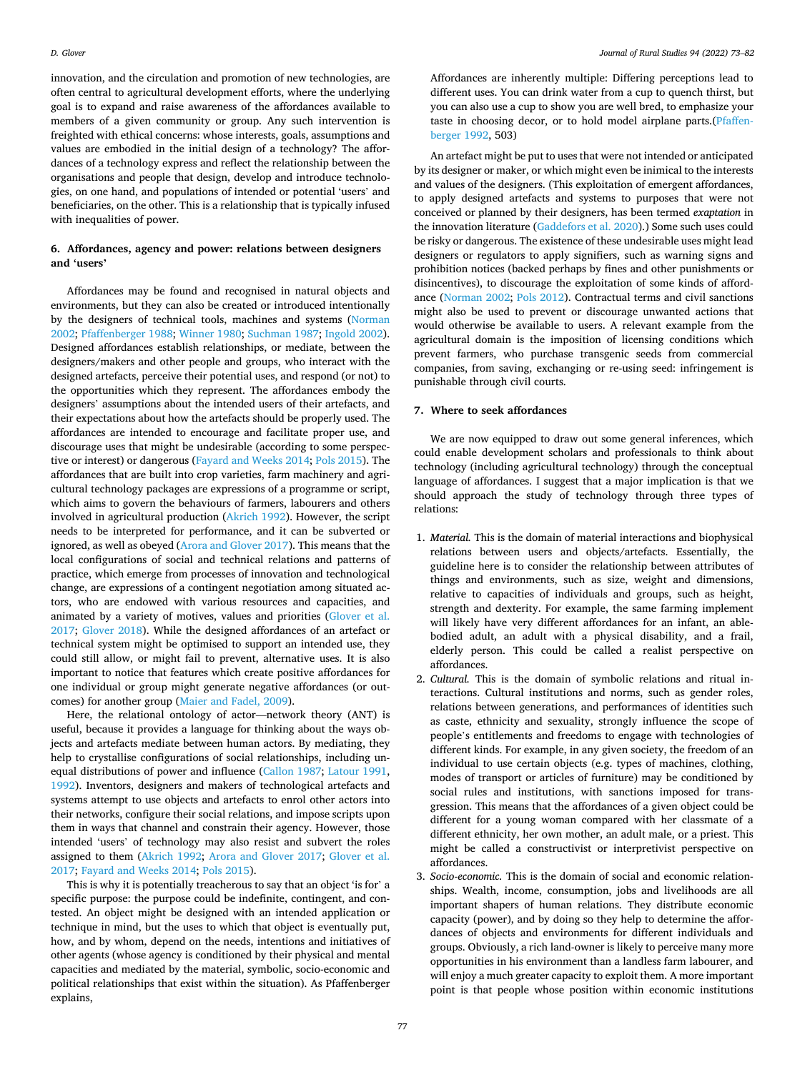<span id="page-4-0"></span>innovation, and the circulation and promotion of new technologies, are often central to agricultural development efforts, where the underlying goal is to expand and raise awareness of the affordances available to members of a given community or group. Any such intervention is freighted with ethical concerns: whose interests, goals, assumptions and values are embodied in the initial design of a technology? The affordances of a technology express and reflect the relationship between the organisations and people that design, develop and introduce technologies, on one hand, and populations of intended or potential 'users' and beneficiaries, on the other. This is a relationship that is typically infused with inequalities of power.

## **6. Affordances, agency and power: relations between designers and 'users'**

Affordances may be found and recognised in natural objects and environments, but they can also be created or introduced intentionally by the designers of technical tools, machines and systems [\(Norman](#page-9-0)  [2002; Pfaffenberger 1988;](#page-9-0) [Winner 1980; Suchman 1987](#page-9-0); [Ingold 2002](#page-9-0)). Designed affordances establish relationships, or mediate, between the designers/makers and other people and groups, who interact with the designed artefacts, perceive their potential uses, and respond (or not) to the opportunities which they represent. The affordances embody the designers' assumptions about the intended users of their artefacts, and their expectations about how the artefacts should be properly used. The affordances are intended to encourage and facilitate proper use, and discourage uses that might be undesirable (according to some perspective or interest) or dangerous [\(Fayard and Weeks 2014](#page-8-0); [Pols 2015](#page-9-0)). The affordances that are built into crop varieties, farm machinery and agricultural technology packages are expressions of a programme or script, which aims to govern the behaviours of farmers, labourers and others involved in agricultural production ([Akrich 1992](#page-8-0)). However, the script needs to be interpreted for performance, and it can be subverted or ignored, as well as obeyed ([Arora and Glover 2017\)](#page-8-0). This means that the local configurations of social and technical relations and patterns of practice, which emerge from processes of innovation and technological change, are expressions of a contingent negotiation among situated actors, who are endowed with various resources and capacities, and animated by a variety of motives, values and priorities ([Glover et al.](#page-9-0)  [2017;](#page-9-0) [Glover 2018](#page-9-0)). While the designed affordances of an artefact or technical system might be optimised to support an intended use, they could still allow, or might fail to prevent, alternative uses. It is also important to notice that features which create positive affordances for one individual or group might generate negative affordances (or outcomes) for another group ([Maier and Fadel, 2009](#page-9-0)).

Here, the relational ontology of actor—network theory (ANT) is useful, because it provides a language for thinking about the ways objects and artefacts mediate between human actors. By mediating, they help to crystallise configurations of social relationships, including unequal distributions of power and influence ([Callon 1987;](#page-8-0) [Latour 1991](#page-9-0), [1992\)](#page-9-0). Inventors, designers and makers of technological artefacts and systems attempt to use objects and artefacts to enrol other actors into their networks, configure their social relations, and impose scripts upon them in ways that channel and constrain their agency. However, those intended 'users' of technology may also resist and subvert the roles assigned to them ([Akrich 1992](#page-8-0); [Arora and Glover 2017](#page-8-0); [Glover et al.](#page-9-0)  [2017;](#page-9-0) [Fayard and Weeks 2014](#page-8-0); [Pols 2015\)](#page-9-0).

This is why it is potentially treacherous to say that an object 'is for' a specific purpose: the purpose could be indefinite, contingent, and contested. An object might be designed with an intended application or technique in mind, but the uses to which that object is eventually put, how, and by whom, depend on the needs, intentions and initiatives of other agents (whose agency is conditioned by their physical and mental capacities and mediated by the material, symbolic, socio-economic and political relationships that exist within the situation). As Pfaffenberger explains,

Affordances are inherently multiple: Differing perceptions lead to different uses. You can drink water from a cup to quench thirst, but you can also use a cup to show you are well bred, to emphasize your taste in choosing decor, or to hold model airplane parts.[\(Pfaffen](#page-9-0)[berger 1992,](#page-9-0) 503)

An artefact might be put to uses that were not intended or anticipated by its designer or maker, or which might even be inimical to the interests and values of the designers. (This exploitation of emergent affordances, to apply designed artefacts and systems to purposes that were not conceived or planned by their designers, has been termed *exaptation* in the innovation literature ([Gaddefors et al. 2020](#page-8-0)).) Some such uses could be risky or dangerous. The existence of these undesirable uses might lead designers or regulators to apply signifiers, such as warning signs and prohibition notices (backed perhaps by fines and other punishments or disincentives), to discourage the exploitation of some kinds of affordance [\(Norman 2002;](#page-9-0) [Pols 2012\)](#page-9-0). Contractual terms and civil sanctions might also be used to prevent or discourage unwanted actions that would otherwise be available to users. A relevant example from the agricultural domain is the imposition of licensing conditions which prevent farmers, who purchase transgenic seeds from commercial companies, from saving, exchanging or re-using seed: infringement is punishable through civil courts.

### **7. Where to seek affordances**

We are now equipped to draw out some general inferences, which could enable development scholars and professionals to think about technology (including agricultural technology) through the conceptual language of affordances. I suggest that a major implication is that we should approach the study of technology through three types of relations:

- 1. *Material.* This is the domain of material interactions and biophysical relations between users and objects/artefacts. Essentially, the guideline here is to consider the relationship between attributes of things and environments, such as size, weight and dimensions, relative to capacities of individuals and groups, such as height, strength and dexterity. For example, the same farming implement will likely have very different affordances for an infant, an ablebodied adult, an adult with a physical disability, and a frail, elderly person. This could be called a realist perspective on affordances.
- 2. *Cultural.* This is the domain of symbolic relations and ritual interactions. Cultural institutions and norms, such as gender roles, relations between generations, and performances of identities such as caste, ethnicity and sexuality, strongly influence the scope of people's entitlements and freedoms to engage with technologies of different kinds. For example, in any given society, the freedom of an individual to use certain objects (e.g. types of machines, clothing, modes of transport or articles of furniture) may be conditioned by social rules and institutions, with sanctions imposed for transgression. This means that the affordances of a given object could be different for a young woman compared with her classmate of a different ethnicity, her own mother, an adult male, or a priest. This might be called a constructivist or interpretivist perspective on affordances.
- 3. *Socio-economic.* This is the domain of social and economic relationships. Wealth, income, consumption, jobs and livelihoods are all important shapers of human relations. They distribute economic capacity (power), and by doing so they help to determine the affordances of objects and environments for different individuals and groups. Obviously, a rich land-owner is likely to perceive many more opportunities in his environment than a landless farm labourer, and will enjoy a much greater capacity to exploit them. A more important point is that people whose position within economic institutions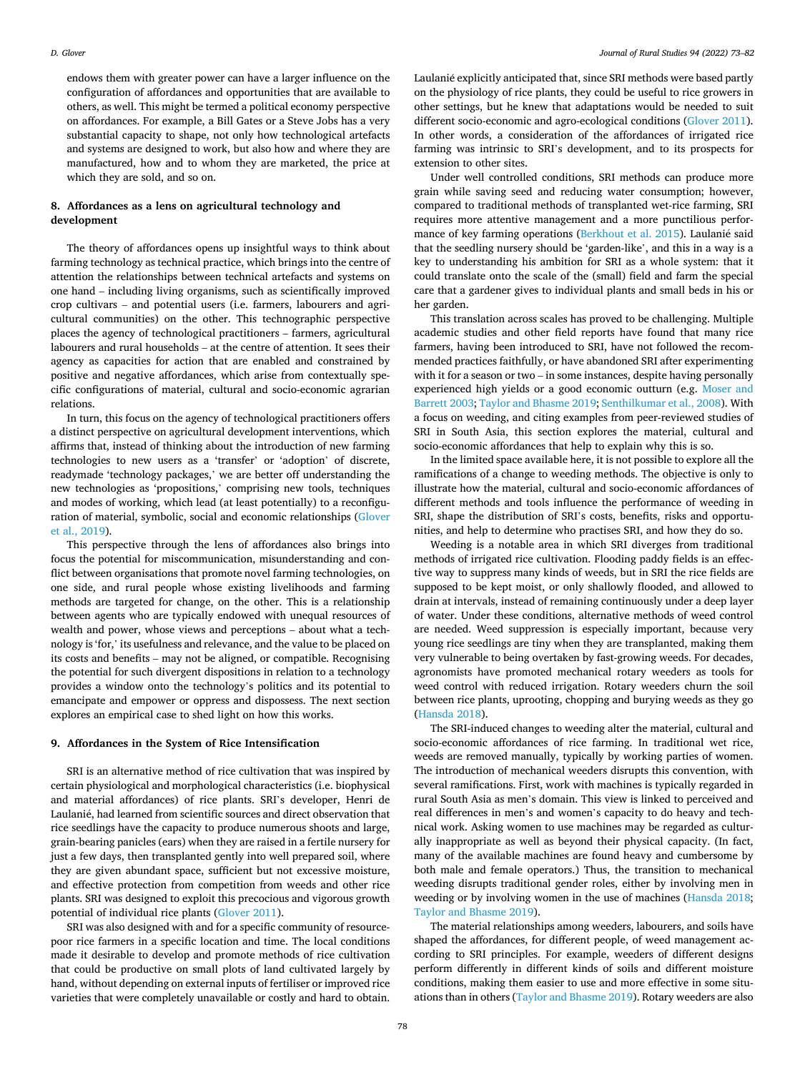<span id="page-5-0"></span>endows them with greater power can have a larger influence on the configuration of affordances and opportunities that are available to others, as well. This might be termed a political economy perspective on affordances. For example, a Bill Gates or a Steve Jobs has a very substantial capacity to shape, not only how technological artefacts and systems are designed to work, but also how and where they are manufactured, how and to whom they are marketed, the price at which they are sold, and so on.

#### **8. Affordances as a lens on agricultural technology and development**

The theory of affordances opens up insightful ways to think about farming technology as technical practice, which brings into the centre of attention the relationships between technical artefacts and systems on one hand – including living organisms, such as scientifically improved crop cultivars – and potential users (i.e. farmers, labourers and agricultural communities) on the other. This technographic perspective places the agency of technological practitioners – farmers, agricultural labourers and rural households – at the centre of attention. It sees their agency as capacities for action that are enabled and constrained by positive and negative affordances, which arise from contextually specific configurations of material, cultural and socio-economic agrarian relations.

In turn, this focus on the agency of technological practitioners offers a distinct perspective on agricultural development interventions, which affirms that, instead of thinking about the introduction of new farming technologies to new users as a 'transfer' or 'adoption' of discrete, readymade 'technology packages,' we are better off understanding the new technologies as 'propositions,' comprising new tools, techniques and modes of working, which lead (at least potentially) to a reconfiguration of material, symbolic, social and economic relationships [\(Glover](#page-9-0)  [et al., 2019\)](#page-9-0).

This perspective through the lens of affordances also brings into focus the potential for miscommunication, misunderstanding and conflict between organisations that promote novel farming technologies, on one side, and rural people whose existing livelihoods and farming methods are targeted for change, on the other. This is a relationship between agents who are typically endowed with unequal resources of wealth and power, whose views and perceptions – about what a technology is 'for,' its usefulness and relevance, and the value to be placed on its costs and benefits – may not be aligned, or compatible. Recognising the potential for such divergent dispositions in relation to a technology provides a window onto the technology's politics and its potential to emancipate and empower or oppress and dispossess. The next section explores an empirical case to shed light on how this works.

#### **9. Affordances in the System of Rice Intensification**

SRI is an alternative method of rice cultivation that was inspired by certain physiological and morphological characteristics (i.e. biophysical and material affordances) of rice plants. SRI's developer, Henri de Laulanié, had learned from scientific sources and direct observation that rice seedlings have the capacity to produce numerous shoots and large, grain-bearing panicles (ears) when they are raised in a fertile nursery for just a few days, then transplanted gently into well prepared soil, where they are given abundant space, sufficient but not excessive moisture, and effective protection from competition from weeds and other rice plants. SRI was designed to exploit this precocious and vigorous growth potential of individual rice plants [\(Glover 2011](#page-9-0)).

SRI was also designed with and for a specific community of resourcepoor rice farmers in a specific location and time. The local conditions made it desirable to develop and promote methods of rice cultivation that could be productive on small plots of land cultivated largely by hand, without depending on external inputs of fertiliser or improved rice varieties that were completely unavailable or costly and hard to obtain.

Laulanié explicitly anticipated that, since SRI methods were based partly on the physiology of rice plants, they could be useful to rice growers in other settings, but he knew that adaptations would be needed to suit different socio-economic and agro-ecological conditions ([Glover 2011](#page-9-0)). In other words, a consideration of the affordances of irrigated rice farming was intrinsic to SRI's development, and to its prospects for extension to other sites.

Under well controlled conditions, SRI methods can produce more grain while saving seed and reducing water consumption; however, compared to traditional methods of transplanted wet-rice farming, SRI requires more attentive management and a more punctilious perfor-mance of key farming operations ([Berkhout et al. 2015\)](#page-8-0). Laulanié said that the seedling nursery should be 'garden-like', and this in a way is a key to understanding his ambition for SRI as a whole system: that it could translate onto the scale of the (small) field and farm the special care that a gardener gives to individual plants and small beds in his or her garden.

This translation across scales has proved to be challenging. Multiple academic studies and other field reports have found that many rice farmers, having been introduced to SRI, have not followed the recommended practices faithfully, or have abandoned SRI after experimenting with it for a season or two – in some instances, despite having personally experienced high yields or a good economic outturn (e.g. [Moser and](#page-9-0)  [Barrett 2003; Taylor and Bhasme 2019](#page-9-0); [Senthilkumar et al., 2008\)](#page-9-0). With a focus on weeding, and citing examples from peer-reviewed studies of SRI in South Asia, this section explores the material, cultural and socio-economic affordances that help to explain why this is so.

In the limited space available here, it is not possible to explore all the ramifications of a change to weeding methods. The objective is only to illustrate how the material, cultural and socio-economic affordances of different methods and tools influence the performance of weeding in SRI, shape the distribution of SRI's costs, benefits, risks and opportunities, and help to determine who practises SRI, and how they do so.

Weeding is a notable area in which SRI diverges from traditional methods of irrigated rice cultivation. Flooding paddy fields is an effective way to suppress many kinds of weeds, but in SRI the rice fields are supposed to be kept moist, or only shallowly flooded, and allowed to drain at intervals, instead of remaining continuously under a deep layer of water. Under these conditions, alternative methods of weed control are needed. Weed suppression is especially important, because very young rice seedlings are tiny when they are transplanted, making them very vulnerable to being overtaken by fast-growing weeds. For decades, agronomists have promoted mechanical rotary weeders as tools for weed control with reduced irrigation. Rotary weeders churn the soil between rice plants, uprooting, chopping and burying weeds as they go ([Hansda 2018](#page-9-0)).

The SRI-induced changes to weeding alter the material, cultural and socio-economic affordances of rice farming. In traditional wet rice, weeds are removed manually, typically by working parties of women. The introduction of mechanical weeders disrupts this convention, with several ramifications. First, work with machines is typically regarded in rural South Asia as men's domain. This view is linked to perceived and real differences in men's and women's capacity to do heavy and technical work. Asking women to use machines may be regarded as culturally inappropriate as well as beyond their physical capacity. (In fact, many of the available machines are found heavy and cumbersome by both male and female operators.) Thus, the transition to mechanical weeding disrupts traditional gender roles, either by involving men in weeding or by involving women in the use of machines ([Hansda 2018](#page-9-0); [Taylor and Bhasme 2019\)](#page-9-0).

The material relationships among weeders, labourers, and soils have shaped the affordances, for different people, of weed management according to SRI principles. For example, weeders of different designs perform differently in different kinds of soils and different moisture conditions, making them easier to use and more effective in some situations than in others [\(Taylor and Bhasme 2019](#page-9-0)). Rotary weeders are also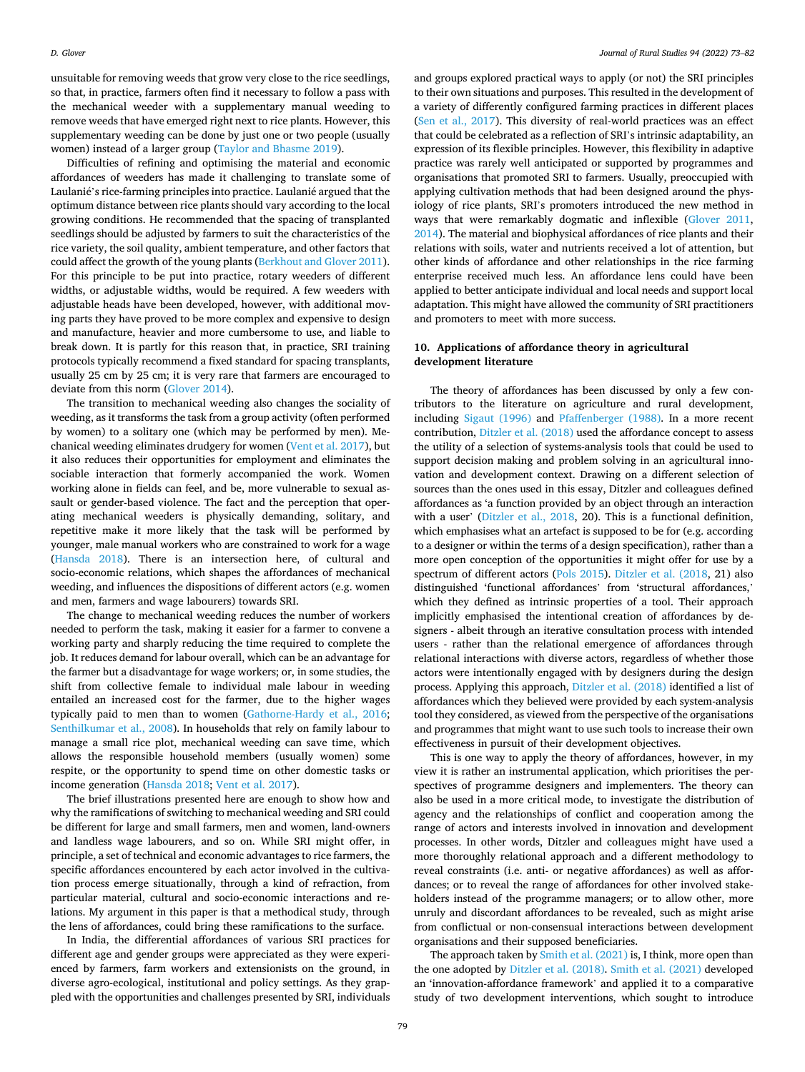<span id="page-6-0"></span>unsuitable for removing weeds that grow very close to the rice seedlings, so that, in practice, farmers often find it necessary to follow a pass with the mechanical weeder with a supplementary manual weeding to remove weeds that have emerged right next to rice plants. However, this supplementary weeding can be done by just one or two people (usually women) instead of a larger group [\(Taylor and Bhasme 2019\)](#page-9-0).

Difficulties of refining and optimising the material and economic affordances of weeders has made it challenging to translate some of Laulanié's rice-farming principles into practice. Laulanié argued that the optimum distance between rice plants should vary according to the local growing conditions. He recommended that the spacing of transplanted seedlings should be adjusted by farmers to suit the characteristics of the rice variety, the soil quality, ambient temperature, and other factors that could affect the growth of the young plants [\(Berkhout and Glover 2011](#page-8-0)). For this principle to be put into practice, rotary weeders of different widths, or adjustable widths, would be required. A few weeders with adjustable heads have been developed, however, with additional moving parts they have proved to be more complex and expensive to design and manufacture, heavier and more cumbersome to use, and liable to break down. It is partly for this reason that, in practice, SRI training protocols typically recommend a fixed standard for spacing transplants, usually 25 cm by 25 cm; it is very rare that farmers are encouraged to deviate from this norm [\(Glover 2014](#page-9-0)).

The transition to mechanical weeding also changes the sociality of weeding, as it transforms the task from a group activity (often performed by women) to a solitary one (which may be performed by men). Mechanical weeding eliminates drudgery for women ([Vent et al. 2017\)](#page-9-0), but it also reduces their opportunities for employment and eliminates the sociable interaction that formerly accompanied the work. Women working alone in fields can feel, and be, more vulnerable to sexual assault or gender-based violence. The fact and the perception that operating mechanical weeders is physically demanding, solitary, and repetitive make it more likely that the task will be performed by younger, male manual workers who are constrained to work for a wage ([Hansda 2018](#page-9-0)). There is an intersection here, of cultural and socio-economic relations, which shapes the affordances of mechanical weeding, and influences the dispositions of different actors (e.g. women and men, farmers and wage labourers) towards SRI.

The change to mechanical weeding reduces the number of workers needed to perform the task, making it easier for a farmer to convene a working party and sharply reducing the time required to complete the job. It reduces demand for labour overall, which can be an advantage for the farmer but a disadvantage for wage workers; or, in some studies, the shift from collective female to individual male labour in weeding entailed an increased cost for the farmer, due to the higher wages typically paid to men than to women ([Gathorne-Hardy et al., 2016](#page-8-0); [Senthilkumar et al., 2008\)](#page-9-0). In households that rely on family labour to manage a small rice plot, mechanical weeding can save time, which allows the responsible household members (usually women) some respite, or the opportunity to spend time on other domestic tasks or income generation ([Hansda 2018](#page-9-0); [Vent et al. 2017\)](#page-9-0).

The brief illustrations presented here are enough to show how and why the ramifications of switching to mechanical weeding and SRI could be different for large and small farmers, men and women, land-owners and landless wage labourers, and so on. While SRI might offer, in principle, a set of technical and economic advantages to rice farmers, the specific affordances encountered by each actor involved in the cultivation process emerge situationally, through a kind of refraction, from particular material, cultural and socio-economic interactions and relations. My argument in this paper is that a methodical study, through the lens of affordances, could bring these ramifications to the surface.

In India, the differential affordances of various SRI practices for different age and gender groups were appreciated as they were experienced by farmers, farm workers and extensionists on the ground, in diverse agro-ecological, institutional and policy settings. As they grappled with the opportunities and challenges presented by SRI, individuals and groups explored practical ways to apply (or not) the SRI principles to their own situations and purposes. This resulted in the development of a variety of differently configured farming practices in different places ([Sen et al., 2017\)](#page-9-0). This diversity of real-world practices was an effect that could be celebrated as a reflection of SRI's intrinsic adaptability, an expression of its flexible principles. However, this flexibility in adaptive practice was rarely well anticipated or supported by programmes and organisations that promoted SRI to farmers. Usually, preoccupied with applying cultivation methods that had been designed around the physiology of rice plants, SRI's promoters introduced the new method in ways that were remarkably dogmatic and inflexible [\(Glover 2011](#page-9-0), [2014\)](#page-9-0). The material and biophysical affordances of rice plants and their relations with soils, water and nutrients received a lot of attention, but other kinds of affordance and other relationships in the rice farming enterprise received much less. An affordance lens could have been applied to better anticipate individual and local needs and support local adaptation. This might have allowed the community of SRI practitioners and promoters to meet with more success.

## **10. Applications of affordance theory in agricultural development literature**

The theory of affordances has been discussed by only a few contributors to the literature on agriculture and rural development, including [Sigaut \(1996\)](#page-9-0) and [Pfaffenberger \(1988\)](#page-9-0). In a more recent contribution, [Ditzler et al. \(2018\)](#page-8-0) used the affordance concept to assess the utility of a selection of systems-analysis tools that could be used to support decision making and problem solving in an agricultural innovation and development context. Drawing on a different selection of sources than the ones used in this essay, Ditzler and colleagues defined affordances as 'a function provided by an object through an interaction with a user' ([Ditzler et al., 2018](#page-8-0), 20). This is a functional definition, which emphasises what an artefact is supposed to be for (e.g. according to a designer or within the terms of a design specification), rather than a more open conception of the opportunities it might offer for use by a spectrum of different actors ([Pols 2015](#page-9-0)). [Ditzler et al. \(2018,](#page-8-0) 21) also distinguished 'functional affordances' from 'structural affordances,' which they defined as intrinsic properties of a tool. Their approach implicitly emphasised the intentional creation of affordances by designers - albeit through an iterative consultation process with intended users - rather than the relational emergence of affordances through relational interactions with diverse actors, regardless of whether those actors were intentionally engaged with by designers during the design process. Applying this approach, [Ditzler et al. \(2018\)](#page-8-0) identified a list of affordances which they believed were provided by each system-analysis tool they considered, as viewed from the perspective of the organisations and programmes that might want to use such tools to increase their own effectiveness in pursuit of their development objectives.

This is one way to apply the theory of affordances, however, in my view it is rather an instrumental application, which prioritises the perspectives of programme designers and implementers. The theory can also be used in a more critical mode, to investigate the distribution of agency and the relationships of conflict and cooperation among the range of actors and interests involved in innovation and development processes. In other words, Ditzler and colleagues might have used a more thoroughly relational approach and a different methodology to reveal constraints (i.e. anti- or negative affordances) as well as affordances; or to reveal the range of affordances for other involved stakeholders instead of the programme managers; or to allow other, more unruly and discordant affordances to be revealed, such as might arise from conflictual or non-consensual interactions between development organisations and their supposed beneficiaries.

The approach taken by [Smith et al. \(2021\)](#page-9-0) is, I think, more open than the one adopted by [Ditzler et al. \(2018\)](#page-8-0). [Smith et al. \(2021\)](#page-9-0) developed an 'innovation-affordance framework' and applied it to a comparative study of two development interventions, which sought to introduce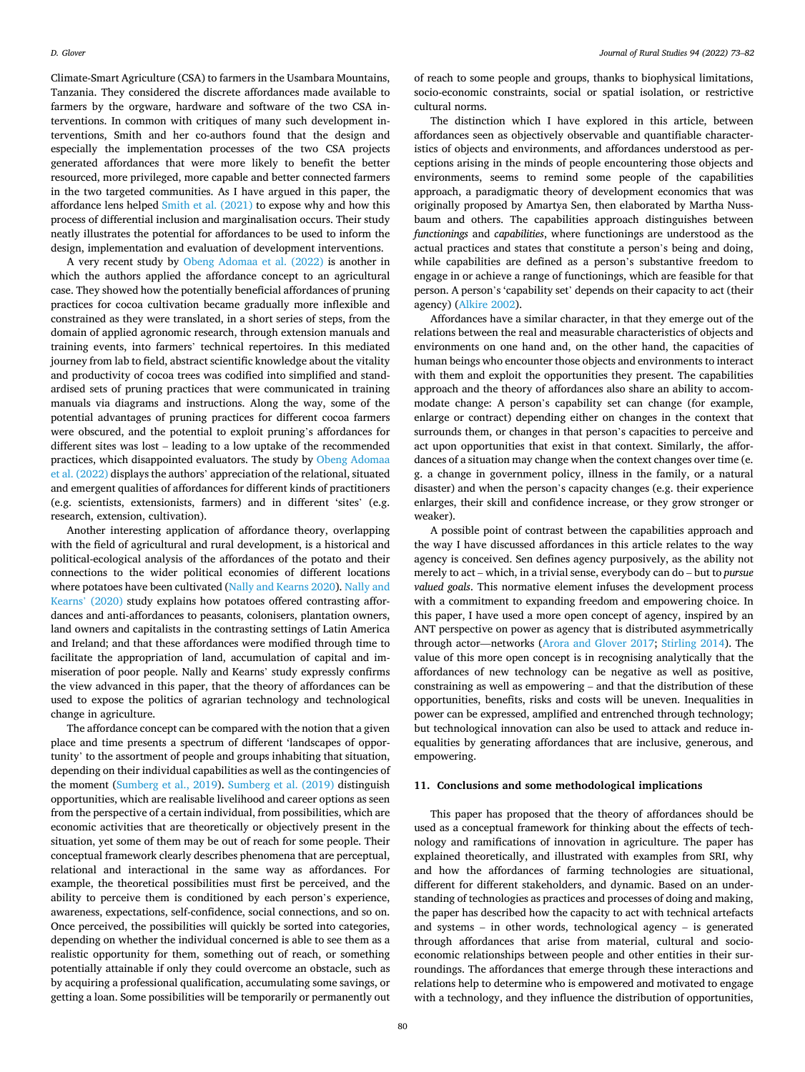<span id="page-7-0"></span>Climate-Smart Agriculture (CSA) to farmers in the Usambara Mountains, Tanzania. They considered the discrete affordances made available to farmers by the orgware, hardware and software of the two CSA interventions. In common with critiques of many such development interventions, Smith and her co-authors found that the design and especially the implementation processes of the two CSA projects generated affordances that were more likely to benefit the better resourced, more privileged, more capable and better connected farmers in the two targeted communities. As I have argued in this paper, the affordance lens helped [Smith et al. \(2021\)](#page-9-0) to expose why and how this process of differential inclusion and marginalisation occurs. Their study neatly illustrates the potential for affordances to be used to inform the design, implementation and evaluation of development interventions.

A very recent study by [Obeng Adomaa et al. \(2022\)](#page-9-0) is another in which the authors applied the affordance concept to an agricultural case. They showed how the potentially beneficial affordances of pruning practices for cocoa cultivation became gradually more inflexible and constrained as they were translated, in a short series of steps, from the domain of applied agronomic research, through extension manuals and training events, into farmers' technical repertoires. In this mediated journey from lab to field, abstract scientific knowledge about the vitality and productivity of cocoa trees was codified into simplified and standardised sets of pruning practices that were communicated in training manuals via diagrams and instructions. Along the way, some of the potential advantages of pruning practices for different cocoa farmers were obscured, and the potential to exploit pruning's affordances for different sites was lost – leading to a low uptake of the recommended practices, which disappointed evaluators. The study by [Obeng Adomaa](#page-9-0)  [et al. \(2022\)](#page-9-0) displays the authors' appreciation of the relational, situated and emergent qualities of affordances for different kinds of practitioners (e.g. scientists, extensionists, farmers) and in different 'sites' (e.g. research, extension, cultivation).

Another interesting application of affordance theory, overlapping with the field of agricultural and rural development, is a historical and political-ecological analysis of the affordances of the potato and their connections to the wider political economies of different locations where potatoes have been cultivated [\(Nally and Kearns 2020](#page-9-0)). Nally and Kearns' [\(2020\)](#page-9-0) study explains how potatoes offered contrasting affordances and anti-affordances to peasants, colonisers, plantation owners, land owners and capitalists in the contrasting settings of Latin America and Ireland; and that these affordances were modified through time to facilitate the appropriation of land, accumulation of capital and immiseration of poor people. Nally and Kearns' study expressly confirms the view advanced in this paper, that the theory of affordances can be used to expose the politics of agrarian technology and technological change in agriculture.

The affordance concept can be compared with the notion that a given place and time presents a spectrum of different 'landscapes of opportunity' to the assortment of people and groups inhabiting that situation, depending on their individual capabilities as well as the contingencies of the moment [\(Sumberg et al., 2019\)](#page-9-0). [Sumberg et al. \(2019\)](#page-9-0) distinguish opportunities, which are realisable livelihood and career options as seen from the perspective of a certain individual, from possibilities, which are economic activities that are theoretically or objectively present in the situation, yet some of them may be out of reach for some people. Their conceptual framework clearly describes phenomena that are perceptual, relational and interactional in the same way as affordances. For example, the theoretical possibilities must first be perceived, and the ability to perceive them is conditioned by each person's experience, awareness, expectations, self-confidence, social connections, and so on. Once perceived, the possibilities will quickly be sorted into categories, depending on whether the individual concerned is able to see them as a realistic opportunity for them, something out of reach, or something potentially attainable if only they could overcome an obstacle, such as by acquiring a professional qualification, accumulating some savings, or getting a loan. Some possibilities will be temporarily or permanently out of reach to some people and groups, thanks to biophysical limitations, socio-economic constraints, social or spatial isolation, or restrictive cultural norms.

The distinction which I have explored in this article, between affordances seen as objectively observable and quantifiable characteristics of objects and environments, and affordances understood as perceptions arising in the minds of people encountering those objects and environments, seems to remind some people of the capabilities approach, a paradigmatic theory of development economics that was originally proposed by Amartya Sen, then elaborated by Martha Nussbaum and others. The capabilities approach distinguishes between *functionings* and *capabilities*, where functionings are understood as the actual practices and states that constitute a person's being and doing, while capabilities are defined as a person's substantive freedom to engage in or achieve a range of functionings, which are feasible for that person. A person's 'capability set' depends on their capacity to act (their agency) ([Alkire 2002](#page-8-0)).

Affordances have a similar character, in that they emerge out of the relations between the real and measurable characteristics of objects and environments on one hand and, on the other hand, the capacities of human beings who encounter those objects and environments to interact with them and exploit the opportunities they present. The capabilities approach and the theory of affordances also share an ability to accommodate change: A person's capability set can change (for example, enlarge or contract) depending either on changes in the context that surrounds them, or changes in that person's capacities to perceive and act upon opportunities that exist in that context. Similarly, the affordances of a situation may change when the context changes over time (e. g. a change in government policy, illness in the family, or a natural disaster) and when the person's capacity changes (e.g. their experience enlarges, their skill and confidence increase, or they grow stronger or weaker).

A possible point of contrast between the capabilities approach and the way I have discussed affordances in this article relates to the way agency is conceived. Sen defines agency purposively, as the ability not merely to act – which, in a trivial sense, everybody can do – but to *pursue valued goals*. This normative element infuses the development process with a commitment to expanding freedom and empowering choice. In this paper, I have used a more open concept of agency, inspired by an ANT perspective on power as agency that is distributed asymmetrically through actor—networks [\(Arora and Glover 2017;](#page-8-0) [Stirling 2014](#page-9-0)). The value of this more open concept is in recognising analytically that the affordances of new technology can be negative as well as positive, constraining as well as empowering – and that the distribution of these opportunities, benefits, risks and costs will be uneven. Inequalities in power can be expressed, amplified and entrenched through technology; but technological innovation can also be used to attack and reduce inequalities by generating affordances that are inclusive, generous, and empowering.

#### **11. Conclusions and some methodological implications**

This paper has proposed that the theory of affordances should be used as a conceptual framework for thinking about the effects of technology and ramifications of innovation in agriculture. The paper has explained theoretically, and illustrated with examples from SRI, why and how the affordances of farming technologies are situational, different for different stakeholders, and dynamic. Based on an understanding of technologies as practices and processes of doing and making, the paper has described how the capacity to act with technical artefacts and systems – in other words, technological agency – is generated through affordances that arise from material, cultural and socioeconomic relationships between people and other entities in their surroundings. The affordances that emerge through these interactions and relations help to determine who is empowered and motivated to engage with a technology, and they influence the distribution of opportunities,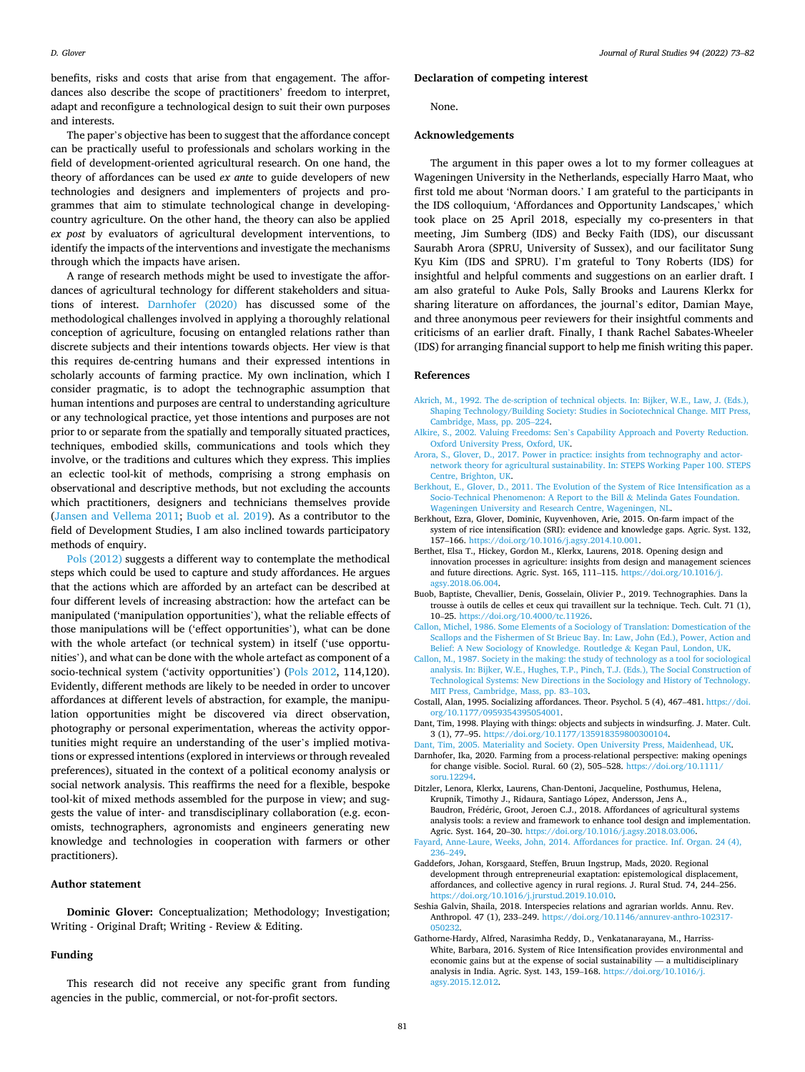<span id="page-8-0"></span>benefits, risks and costs that arise from that engagement. The affordances also describe the scope of practitioners' freedom to interpret, adapt and reconfigure a technological design to suit their own purposes and interests.

The paper's objective has been to suggest that the affordance concept can be practically useful to professionals and scholars working in the field of development-oriented agricultural research. On one hand, the theory of affordances can be used *ex ante* to guide developers of new technologies and designers and implementers of projects and programmes that aim to stimulate technological change in developingcountry agriculture. On the other hand, the theory can also be applied *ex post* by evaluators of agricultural development interventions, to identify the impacts of the interventions and investigate the mechanisms through which the impacts have arisen.

A range of research methods might be used to investigate the affordances of agricultural technology for different stakeholders and situations of interest. Darnhofer (2020) has discussed some of the methodological challenges involved in applying a thoroughly relational conception of agriculture, focusing on entangled relations rather than discrete subjects and their intentions towards objects. Her view is that this requires de-centring humans and their expressed intentions in scholarly accounts of farming practice. My own inclination, which I consider pragmatic, is to adopt the technographic assumption that human intentions and purposes are central to understanding agriculture or any technological practice, yet those intentions and purposes are not prior to or separate from the spatially and temporally situated practices, techniques, embodied skills, communications and tools which they involve, or the traditions and cultures which they express. This implies an eclectic tool-kit of methods, comprising a strong emphasis on observational and descriptive methods, but not excluding the accounts which practitioners, designers and technicians themselves provide ([Jansen and Vellema 2011](#page-9-0); Buob et al. 2019). As a contributor to the field of Development Studies, I am also inclined towards participatory methods of enquiry.

[Pols \(2012\)](#page-9-0) suggests a different way to contemplate the methodical steps which could be used to capture and study affordances. He argues that the actions which are afforded by an artefact can be described at four different levels of increasing abstraction: how the artefact can be manipulated ('manipulation opportunities'), what the reliable effects of those manipulations will be ('effect opportunities'), what can be done with the whole artefact (or technical system) in itself ('use opportunities'), and what can be done with the whole artefact as component of a socio-technical system ('activity opportunities') ([Pols 2012,](#page-9-0) 114,120). Evidently, different methods are likely to be needed in order to uncover affordances at different levels of abstraction, for example, the manipulation opportunities might be discovered via direct observation, photography or personal experimentation, whereas the activity opportunities might require an understanding of the user's implied motivations or expressed intentions (explored in interviews or through revealed preferences), situated in the context of a political economy analysis or social network analysis. This reaffirms the need for a flexible, bespoke tool-kit of mixed methods assembled for the purpose in view; and suggests the value of inter- and transdisciplinary collaboration (e.g. economists, technographers, agronomists and engineers generating new knowledge and technologies in cooperation with farmers or other practitioners).

#### **Author statement**

**Dominic Glover:** Conceptualization; Methodology; Investigation; Writing - Original Draft; Writing - Review & Editing.

#### **Funding**

This research did not receive any specific grant from funding agencies in the public, commercial, or not-for-profit sectors.

#### **Declaration of competing interest**

None.

#### **Acknowledgements**

The argument in this paper owes a lot to my former colleagues at Wageningen University in the Netherlands, especially Harro Maat, who first told me about 'Norman doors.' I am grateful to the participants in the IDS colloquium, 'Affordances and Opportunity Landscapes,' which took place on 25 April 2018, especially my co-presenters in that meeting, Jim Sumberg (IDS) and Becky Faith (IDS), our discussant Saurabh Arora (SPRU, University of Sussex), and our facilitator Sung Kyu Kim (IDS and SPRU). I'm grateful to Tony Roberts (IDS) for insightful and helpful comments and suggestions on an earlier draft. I am also grateful to Auke Pols, Sally Brooks and Laurens Klerkx for sharing literature on affordances, the journal's editor, Damian Maye, and three anonymous peer reviewers for their insightful comments and criticisms of an earlier draft. Finally, I thank Rachel Sabates-Wheeler (IDS) for arranging financial support to help me finish writing this paper.

#### **References**

- [Akrich, M., 1992. The de-scription of technical objects. In: Bijker, W.E., Law, J. \(Eds.\),](http://refhub.elsevier.com/S0743-0167(22)00100-0/sref2) [Shaping Technology/Building Society: Studies in Sociotechnical Change. MIT Press,](http://refhub.elsevier.com/S0743-0167(22)00100-0/sref2)  [Cambridge, Mass, pp. 205](http://refhub.elsevier.com/S0743-0167(22)00100-0/sref2)–224.
- Alkire, S., 2002. Valuing Freedoms: Sen'[s Capability Approach and Poverty Reduction.](http://refhub.elsevier.com/S0743-0167(22)00100-0/sref3) [Oxford University Press, Oxford, UK.](http://refhub.elsevier.com/S0743-0167(22)00100-0/sref3)
- [Arora, S., Glover, D., 2017. Power in practice: insights from technography and actor](http://refhub.elsevier.com/S0743-0167(22)00100-0/sref4)[network theory for agricultural sustainability. In: STEPS Working Paper 100. STEPS](http://refhub.elsevier.com/S0743-0167(22)00100-0/sref4)  [Centre, Brighton, UK](http://refhub.elsevier.com/S0743-0167(22)00100-0/sref4).
- [Berkhout, E., Glover, D., 2011. The Evolution of the System of Rice Intensification as a](http://refhub.elsevier.com/S0743-0167(22)00100-0/sref5) [Socio-Technical Phenomenon: A Report to the Bill](http://refhub.elsevier.com/S0743-0167(22)00100-0/sref5) & Melinda Gates Foundation. [Wageningen University and Research Centre, Wageningen, NL](http://refhub.elsevier.com/S0743-0167(22)00100-0/sref5).
- Berkhout, Ezra, Glover, Dominic, Kuyvenhoven, Arie, 2015. On-farm impact of the system of rice intensification (SRI): evidence and knowledge gaps. Agric. Syst. 132, 157–166. [https://doi.org/10.1016/j.agsy.2014.10.001.](https://doi.org/10.1016/j.agsy.2014.10.001)
- Berthet, Elsa T., Hickey, Gordon M., Klerkx, Laurens, 2018. Opening design and innovation processes in agriculture: insights from design and management sciences and future directions. Agric. Syst. 165, 111–115. [https://doi.org/10.1016/j.](https://doi.org/10.1016/j.agsy.2018.06.004) [agsy.2018.06.004.](https://doi.org/10.1016/j.agsy.2018.06.004)
- Buob, Baptiste, Chevallier, Denis, Gosselain, Olivier P., 2019. Technographies. Dans la trousse à outils de celles et ceux qui travaillent sur la technique. Tech. Cult. 71 (1), 10–25. [https://doi.org/10.4000/tc.11926.](https://doi.org/10.4000/tc.11926)
- [Callon, Michel, 1986. Some Elements of a Sociology of Translation: Domestication of the](http://refhub.elsevier.com/S0743-0167(22)00100-0/optSr5ggx0Ch1)  [Scallops and the Fishermen of St Brieuc Bay. In: Law, John \(Ed.\), Power, Action and](http://refhub.elsevier.com/S0743-0167(22)00100-0/optSr5ggx0Ch1)  [Belief: A New Sociology of Knowledge. Routledge](http://refhub.elsevier.com/S0743-0167(22)00100-0/optSr5ggx0Ch1) & Kegan Paul, London, UK.
- [Callon, M., 1987. Society in the making: the study of technology as a tool for sociological](http://refhub.elsevier.com/S0743-0167(22)00100-0/sref9)  [analysis. In: Bijker, W.E., Hughes, T.P., Pinch, T.J. \(Eds.\), The Social Construction of](http://refhub.elsevier.com/S0743-0167(22)00100-0/sref9)  [Technological Systems: New Directions in the Sociology and History of Technology.](http://refhub.elsevier.com/S0743-0167(22)00100-0/sref9)  [MIT Press, Cambridge, Mass, pp. 83](http://refhub.elsevier.com/S0743-0167(22)00100-0/sref9)–103.
- Costall, Alan, 1995. Socializing affordances. Theor. Psychol. 5 (4), 467–481. [https://doi.](https://doi.org/10.1177/0959354395054001)  [org/10.1177/0959354395054001.](https://doi.org/10.1177/0959354395054001)
- Dant, Tim, 1998. Playing with things: objects and subjects in windsurfing. J. Mater. Cult. 3 (1), 77–95. <https://doi.org/10.1177/135918359800300104>.
- [Dant, Tim, 2005. Materiality and Society. Open University Press, Maidenhead, UK](http://refhub.elsevier.com/S0743-0167(22)00100-0/sref12). Darnhofer, Ika, 2020. Farming from a process-relational perspective: making openings for change visible. Sociol. Rural. 60 (2), 505–528. [https://doi.org/10.1111/](https://doi.org/10.1111/soru.12294) [soru.12294](https://doi.org/10.1111/soru.12294).
- Ditzler, Lenora, Klerkx, Laurens, Chan-Dentoni, Jacqueline, Posthumus, Helena, Krupnik, Timothy J., Ridaura, Santiago López, Andersson, Jens A., Baudron, Frédéric, Groot, Jeroen C.J., 2018. Affordances of agricultural systems analysis tools: a review and framework to enhance tool design and implementation. Agric. Syst. 164, 20–30. [https://doi.org/10.1016/j.agsy.2018.03.006.](https://doi.org/10.1016/j.agsy.2018.03.006)
- [Fayard, Anne-Laure, Weeks, John, 2014. Affordances for practice. Inf. Organ. 24 \(4\),](http://refhub.elsevier.com/S0743-0167(22)00100-0/sref15) 236–[249](http://refhub.elsevier.com/S0743-0167(22)00100-0/sref15).
- Gaddefors, Johan, Korsgaard, Steffen, Bruun Ingstrup, Mads, 2020. Regional development through entrepreneurial exaptation: epistemological displacement, affordances, and collective agency in rural regions. J. Rural Stud. 74, 244–256. <https://doi.org/10.1016/j.jrurstud.2019.10.010>.
- Seshia Galvin, Shaila, 2018. Interspecies relations and agrarian worlds. Annu. Rev. Anthropol. 47 (1), 233–249. [https://doi.org/10.1146/annurev-anthro-102317-](https://doi.org/10.1146/annurev-anthro-102317-050232) [050232](https://doi.org/10.1146/annurev-anthro-102317-050232)
- Gathorne-Hardy, Alfred, Narasimha Reddy, D., Venkatanarayana, M., Harriss-White, Barbara, 2016. System of Rice Intensification provides environmental and economic gains but at the expense of social sustainability — a multidisciplinary analysis in India. Agric. Syst. 143, 159–168. [https://doi.org/10.1016/j.](https://doi.org/10.1016/j.agsy.2015.12.012) [agsy.2015.12.012.](https://doi.org/10.1016/j.agsy.2015.12.012)